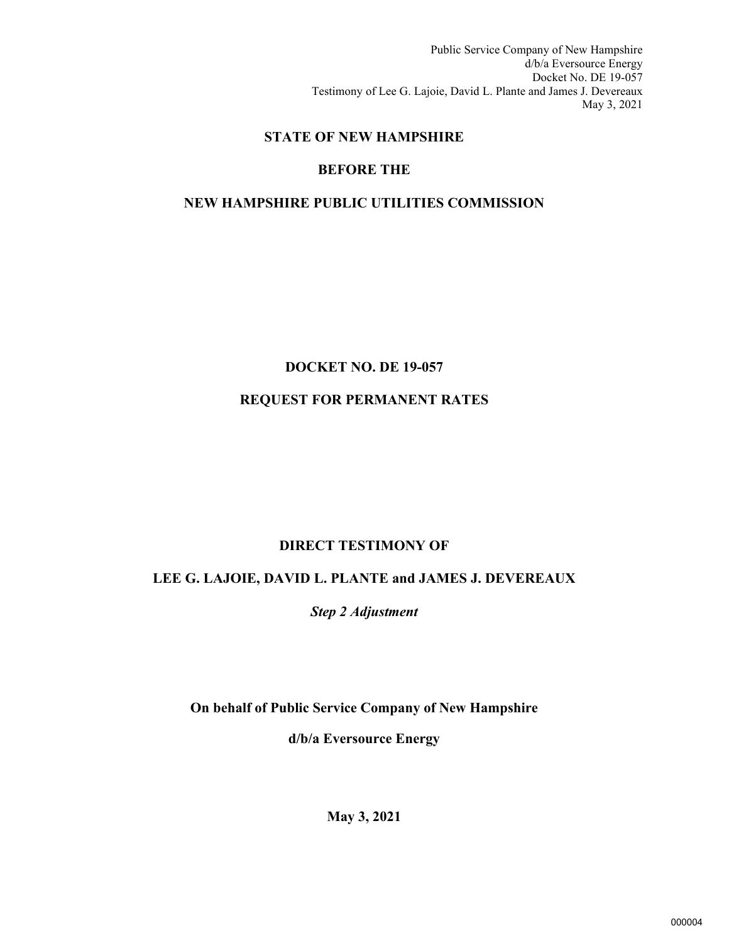Public Service Company of New Hampshire d/b/a Eversource Energy Docket No. DE 19-057 Testimony of Lee G. Lajoie, David L. Plante and James J. Devereaux May 3, 2021

# **STATE OF NEW HAMPSHIRE**

# **BEFORE THE**

# **NEW HAMPSHIRE PUBLIC UTILITIES COMMISSION**

# **DOCKET NO. DE 19-057**

# **REQUEST FOR PERMANENT RATES**

# **DIRECT TESTIMONY OF**

# **LEE G. LAJOIE, DAVID L. PLANTE and JAMES J. DEVEREAUX**

*Step 2 Adjustment*

**On behalf of Public Service Company of New Hampshire** 

**d/b/a Eversource Energy**

**May 3, 2021**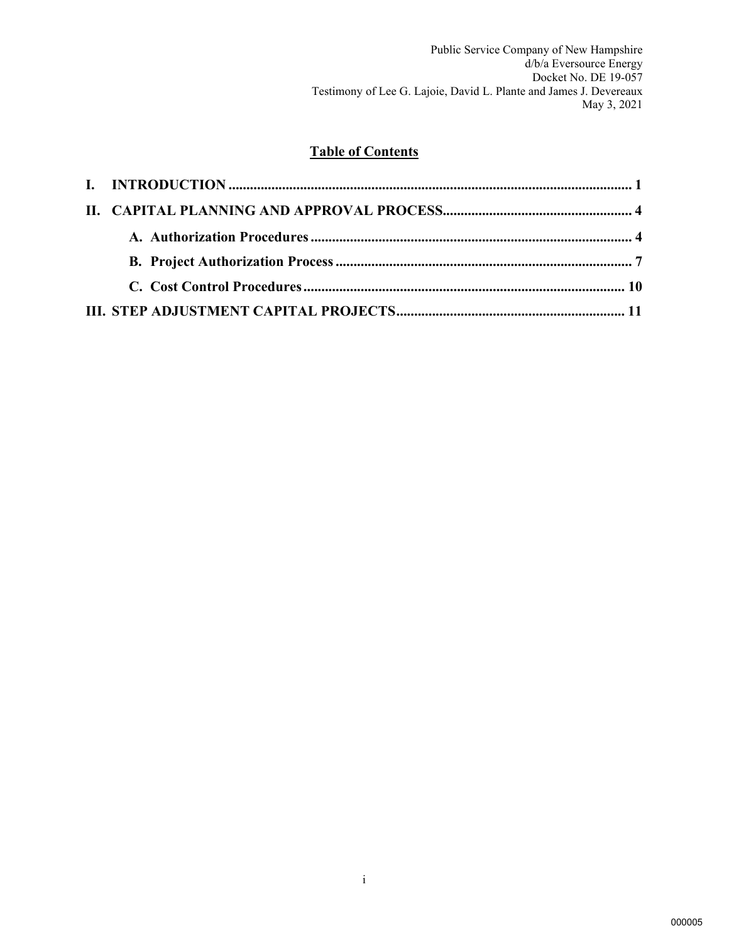# **Table of Contents**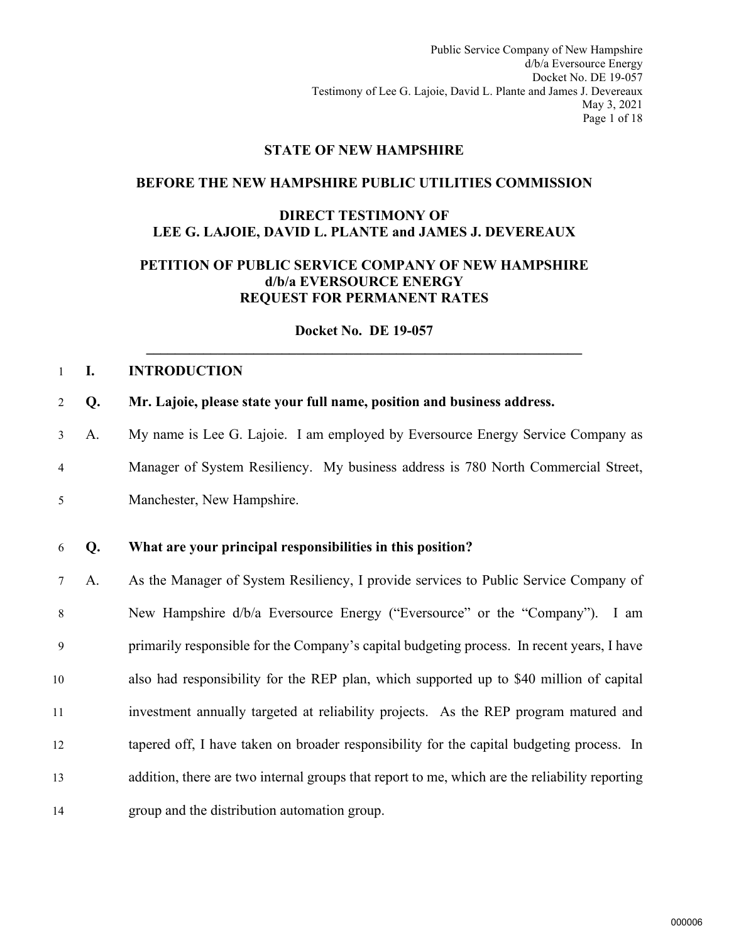Public Service Company of New Hampshire d/b/a Eversource Energy Docket No. DE 19-057 Testimony of Lee G. Lajoie, David L. Plante and James J. Devereaux May 3, 2021 Page 1 of 18

#### **STATE OF NEW HAMPSHIRE**

#### **BEFORE THE NEW HAMPSHIRE PUBLIC UTILITIES COMMISSION**

### **DIRECT TESTIMONY OF LEE G. LAJOIE, DAVID L. PLANTE and JAMES J. DEVEREAUX**

## **PETITION OF PUBLIC SERVICE COMPANY OF NEW HAMPSHIRE d/b/a EVERSOURCE ENERGY REQUEST FOR PERMANENT RATES**

**Docket No. DE 19-057 \_\_\_\_\_\_\_\_\_\_\_\_\_\_\_\_\_\_\_\_\_\_\_\_\_\_\_\_\_\_\_\_\_\_\_\_\_\_\_\_\_\_\_\_\_\_\_\_\_\_\_\_\_\_\_\_\_\_\_\_\_** 

#### <span id="page-2-0"></span>1 **I. INTRODUCTION**

- 2 **Q. Mr. Lajoie, please state your full name, position and business address.**
- 3 A. My name is Lee G. Lajoie. I am employed by Eversource Energy Service Company as 4 Manager of System Resiliency. My business address is 780 North Commercial Street, 5 Manchester, New Hampshire.

#### 6 **Q. What are your principal responsibilities in this position?**

7 A. As the Manager of System Resiliency, I provide services to Public Service Company of 8 New Hampshire d/b/a Eversource Energy ("Eversource" or the "Company"). I am 9 primarily responsible for the Company's capital budgeting process. In recent years, I have also had responsibility for the REP plan, which supported up to \$40 million of capital investment annually targeted at reliability projects. As the REP program matured and tapered off, I have taken on broader responsibility for the capital budgeting process. In addition, there are two internal groups that report to me, which are the reliability reporting group and the distribution automation group.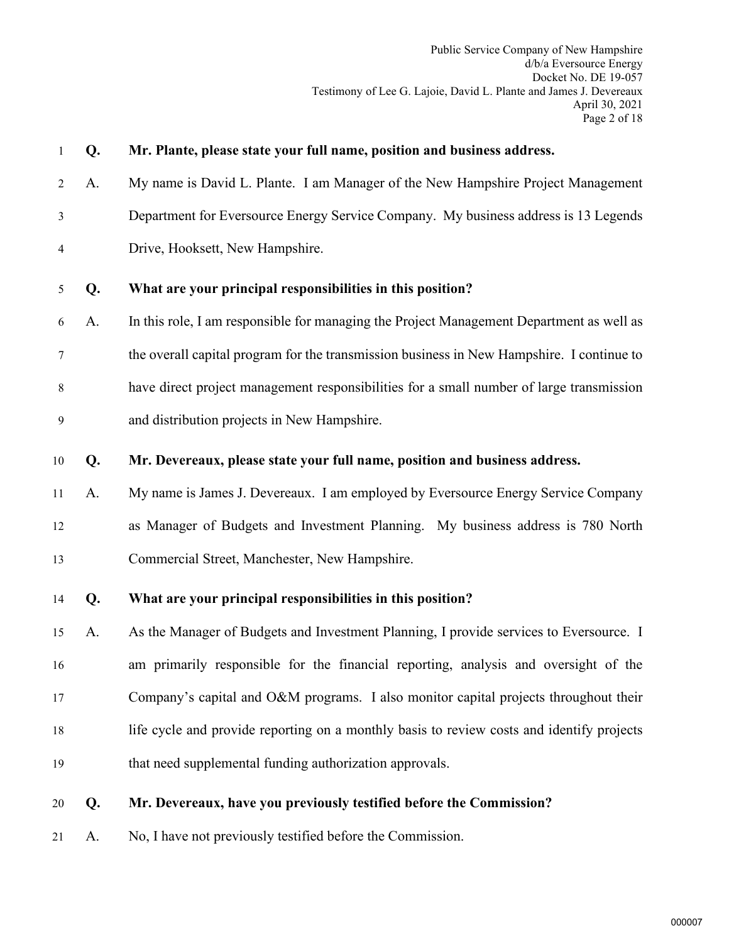| $\mathbf{1}$   | Q. | Mr. Plante, please state your full name, position and business address.                   |  |  |
|----------------|----|-------------------------------------------------------------------------------------------|--|--|
| $\overline{2}$ | A. | My name is David L. Plante. I am Manager of the New Hampshire Project Management          |  |  |
| 3              |    | Department for Eversource Energy Service Company. My business address is 13 Legends       |  |  |
| 4              |    | Drive, Hooksett, New Hampshire.                                                           |  |  |
| 5              | Q. | What are your principal responsibilities in this position?                                |  |  |
| 6              | A. | In this role, I am responsible for managing the Project Management Department as well as  |  |  |
| 7              |    | the overall capital program for the transmission business in New Hampshire. I continue to |  |  |
| 8              |    | have direct project management responsibilities for a small number of large transmission  |  |  |
| $\overline{9}$ |    | and distribution projects in New Hampshire.                                               |  |  |
| 10             | Q. | Mr. Devereaux, please state your full name, position and business address.                |  |  |
| 11             | A. | My name is James J. Devereaux. I am employed by Eversource Energy Service Company         |  |  |
| 12             |    | as Manager of Budgets and Investment Planning. My business address is 780 North           |  |  |
| 13             |    | Commercial Street, Manchester, New Hampshire.                                             |  |  |
| 14             | Q. | What are your principal responsibilities in this position?                                |  |  |
| 15             | A. | As the Manager of Budgets and Investment Planning, I provide services to Eversource. I    |  |  |
| 16             |    | am primarily responsible for the financial reporting, analysis and oversight of the       |  |  |
| 17             |    | Company's capital and O&M programs. I also monitor capital projects throughout their      |  |  |
| 18             |    | life cycle and provide reporting on a monthly basis to review costs and identify projects |  |  |
| 19             |    | that need supplemental funding authorization approvals.                                   |  |  |
| 20             | Q. | Mr. Devereaux, have you previously testified before the Commission?                       |  |  |

21 A. No, I have not previously testified before the Commission.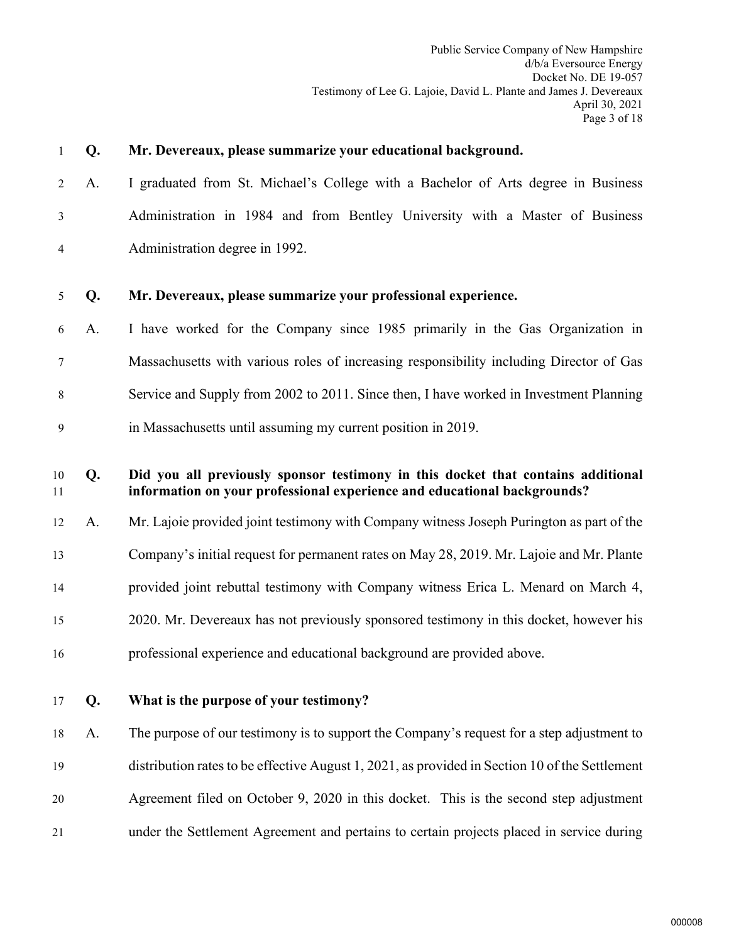| 1        | Q. | Mr. Devereaux, please summarize your educational background.                                                                                                 |
|----------|----|--------------------------------------------------------------------------------------------------------------------------------------------------------------|
| 2        | A. | I graduated from St. Michael's College with a Bachelor of Arts degree in Business                                                                            |
| 3        |    | Administration in 1984 and from Bentley University with a Master of Business                                                                                 |
| 4        |    | Administration degree in 1992.                                                                                                                               |
| 5        | Q. | Mr. Devereaux, please summarize your professional experience.                                                                                                |
|          |    |                                                                                                                                                              |
| 6        | A. | I have worked for the Company since 1985 primarily in the Gas Organization in                                                                                |
| 7        |    | Massachusetts with various roles of increasing responsibility including Director of Gas                                                                      |
| 8        |    | Service and Supply from 2002 to 2011. Since then, I have worked in Investment Planning                                                                       |
| 9        |    | in Massachusetts until assuming my current position in 2019.                                                                                                 |
|          |    |                                                                                                                                                              |
| 10<br>11 | Q. | Did you all previously sponsor testimony in this docket that contains additional<br>information on your professional experience and educational backgrounds? |
| 12       | A. | Mr. Lajoie provided joint testimony with Company witness Joseph Purington as part of the                                                                     |
| 13       |    | Company's initial request for permanent rates on May 28, 2019. Mr. Lajoie and Mr. Plante                                                                     |
| 14       |    | provided joint rebuttal testimony with Company witness Erica L. Menard on March 4,                                                                           |
| 15       |    | 2020. Mr. Devereaux has not previously sponsored testimony in this docket, however his                                                                       |
| 16       |    | professional experience and educational background are provided above.                                                                                       |
| 17       | Q. | What is the purpose of your testimony?                                                                                                                       |
|          |    |                                                                                                                                                              |
| 18       | A. | The purpose of our testimony is to support the Company's request for a step adjustment to                                                                    |
| 19       |    | distribution rates to be effective August 1, 2021, as provided in Section 10 of the Settlement                                                               |
| 20       |    | Agreement filed on October 9, 2020 in this docket. This is the second step adjustment                                                                        |
| 21       |    | under the Settlement Agreement and pertains to certain projects placed in service during                                                                     |
|          |    |                                                                                                                                                              |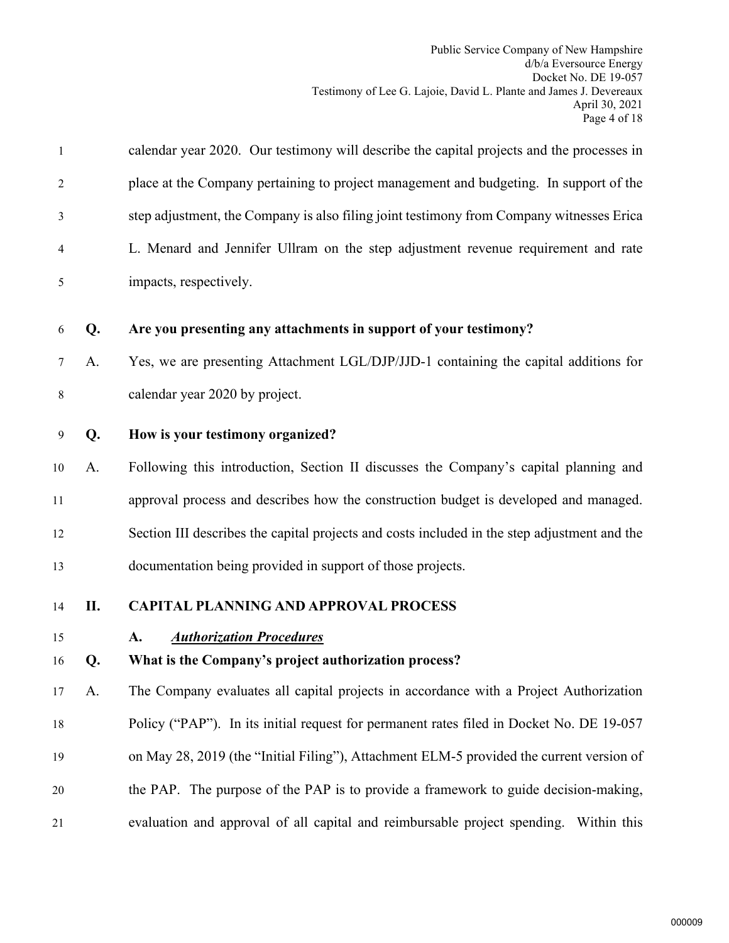<span id="page-5-1"></span><span id="page-5-0"></span>

| $\mathbf{1}$ |    | calendar year 2020. Our testimony will describe the capital projects and the processes in    |
|--------------|----|----------------------------------------------------------------------------------------------|
| 2            |    | place at the Company pertaining to project management and budgeting. In support of the       |
| 3            |    | step adjustment, the Company is also filing joint testimony from Company witnesses Erica     |
| 4            |    | L. Menard and Jennifer Ullram on the step adjustment revenue requirement and rate            |
| 5            |    | impacts, respectively.                                                                       |
| 6            | Q. | Are you presenting any attachments in support of your testimony?                             |
| 7            | A. | Yes, we are presenting Attachment LGL/DJP/JJD-1 containing the capital additions for         |
| 8            |    | calendar year 2020 by project.                                                               |
| 9            | Q. | How is your testimony organized?                                                             |
| 10           | A. | Following this introduction, Section II discusses the Company's capital planning and         |
| 11           |    | approval process and describes how the construction budget is developed and managed.         |
| 12           |    | Section III describes the capital projects and costs included in the step adjustment and the |
| 13           |    | documentation being provided in support of those projects.                                   |
| 14           | П. | <b>CAPITAL PLANNING AND APPROVAL PROCESS</b>                                                 |
| 15           |    | <b>Authorization Procedures</b><br>A.                                                        |
| 16           | Q. | What is the Company's project authorization process?                                         |
| 17           | A. | The Company evaluates all capital projects in accordance with a Project Authorization        |
| 18           |    | Policy ("PAP"). In its initial request for permanent rates filed in Docket No. DE 19-057     |
| 19           |    | on May 28, 2019 (the "Initial Filing"), Attachment ELM-5 provided the current version of     |
| 20           |    | the PAP. The purpose of the PAP is to provide a framework to guide decision-making,          |
| 21           |    | evaluation and approval of all capital and reimbursable project spending. Within this        |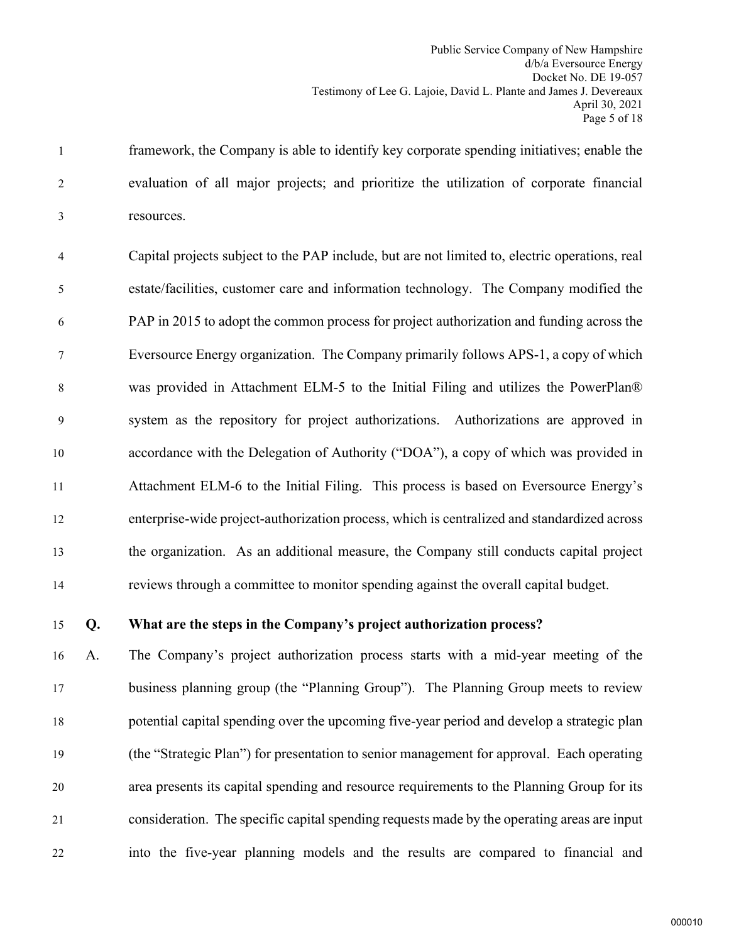1 framework, the Company is able to identify key corporate spending initiatives; enable the 2 evaluation of all major projects; and prioritize the utilization of corporate financial 3 resources.

4 Capital projects subject to the PAP include, but are not limited to, electric operations, real 5 estate/facilities, customer care and information technology. The Company modified the 6 PAP in 2015 to adopt the common process for project authorization and funding across the 7 Eversource Energy organization. The Company primarily follows APS-1, a copy of which 8 was provided in Attachment ELM-5 to the Initial Filing and utilizes the PowerPlan® 9 system as the repository for project authorizations. Authorizations are approved in 10 accordance with the Delegation of Authority ("DOA"), a copy of which was provided in 11 Attachment ELM-6 to the Initial Filing. This process is based on Eversource Energy's 12 enterprise-wide project-authorization process, which is centralized and standardized across 13 the organization. As an additional measure, the Company still conducts capital project 14 reviews through a committee to monitor spending against the overall capital budget.

## 15 **Q. What are the steps in the Company's project authorization process?**

 A. The Company's project authorization process starts with a mid-year meeting of the business planning group (the "Planning Group"). The Planning Group meets to review potential capital spending over the upcoming five-year period and develop a strategic plan (the "Strategic Plan") for presentation to senior management for approval. Each operating area presents its capital spending and resource requirements to the Planning Group for its consideration. The specific capital spending requests made by the operating areas are input into the five-year planning models and the results are compared to financial and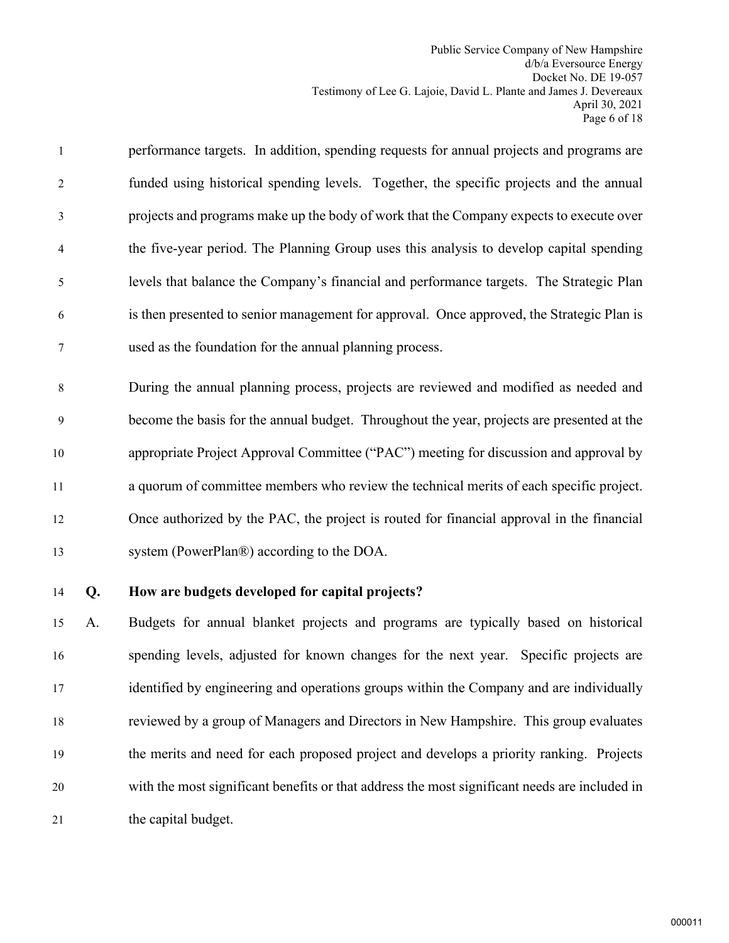1 performance targets. In addition, spending requests for annual projects and programs are 2 funded using historical spending levels. Together, the specific projects and the annual 3 projects and programs make up the body of work that the Company expects to execute over 4 the five-year period. The Planning Group uses this analysis to develop capital spending 5 levels that balance the Company's financial and performance targets. The Strategic Plan 6 is then presented to senior management for approval. Once approved, the Strategic Plan is 7 used as the foundation for the annual planning process.

8 During the annual planning process, projects are reviewed and modified as needed and 9 become the basis for the annual budget. Throughout the year, projects are presented at the appropriate Project Approval Committee ("PAC") meeting for discussion and approval by a quorum of committee members who review the technical merits of each specific project. Once authorized by the PAC, the project is routed for financial approval in the financial system (PowerPlan®) according to the DOA.

# 14 **Q. How are budgets developed for capital projects?**

 A. Budgets for annual blanket projects and programs are typically based on historical spending levels, adjusted for known changes for the next year. Specific projects are identified by engineering and operations groups within the Company and are individually reviewed by a group of Managers and Directors in New Hampshire. This group evaluates the merits and need for each proposed project and develops a priority ranking. Projects with the most significant benefits or that address the most significant needs are included in 21 the capital budget.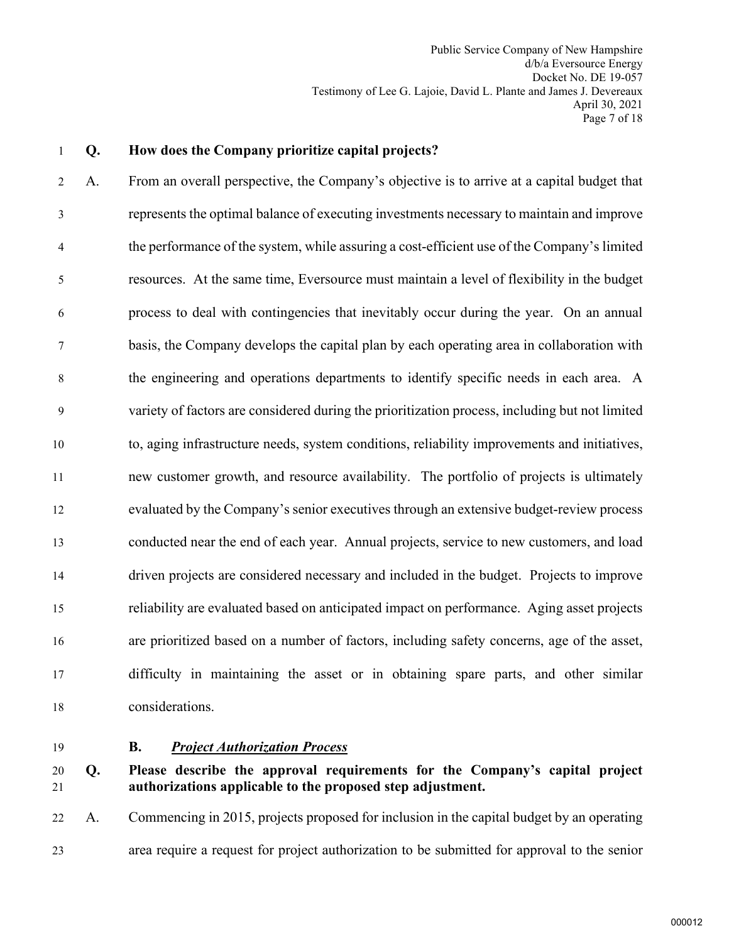#### 1 **Q. How does the Company prioritize capital projects?**

2 A. From an overall perspective, the Company's objective is to arrive at a capital budget that 3 represents the optimal balance of executing investments necessary to maintain and improve 4 the performance of the system, while assuring a cost-efficient use of the Company's limited 5 resources. At the same time, Eversource must maintain a level of flexibility in the budget 6 process to deal with contingencies that inevitably occur during the year. On an annual 7 basis, the Company develops the capital plan by each operating area in collaboration with 8 the engineering and operations departments to identify specific needs in each area. A 9 variety of factors are considered during the prioritization process, including but not limited 10 to, aging infrastructure needs, system conditions, reliability improvements and initiatives, 11 new customer growth, and resource availability. The portfolio of projects is ultimately 12 evaluated by the Company's senior executives through an extensive budget-review process 13 conducted near the end of each year. Annual projects, service to new customers, and load 14 driven projects are considered necessary and included in the budget. Projects to improve 15 reliability are evaluated based on anticipated impact on performance. Aging asset projects 16 are prioritized based on a number of factors, including safety concerns, age of the asset, 17 difficulty in maintaining the asset or in obtaining spare parts, and other similar 18 considerations.

<span id="page-8-0"></span>

#### 19 **B.** *Project Authorization Process*

## 20 **Q. Please describe the approval requirements for the Company's capital project**  21 **authorizations applicable to the proposed step adjustment.**

22 A. Commencing in 2015, projects proposed for inclusion in the capital budget by an operating 23 area require a request for project authorization to be submitted for approval to the senior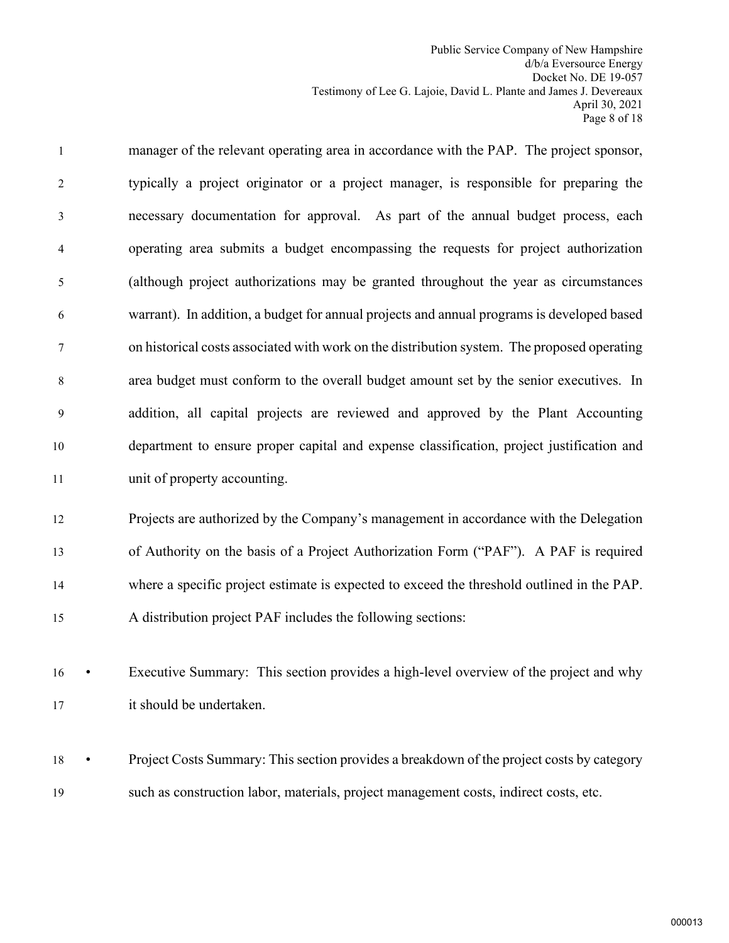1 manager of the relevant operating area in accordance with the PAP. The project sponsor, 2 typically a project originator or a project manager, is responsible for preparing the 3 necessary documentation for approval. As part of the annual budget process, each 4 operating area submits a budget encompassing the requests for project authorization 5 (although project authorizations may be granted throughout the year as circumstances 6 warrant). In addition, a budget for annual projects and annual programs is developed based 7 on historical costs associated with work on the distribution system. The proposed operating 8 area budget must conform to the overall budget amount set by the senior executives. In 9 addition, all capital projects are reviewed and approved by the Plant Accounting 10 department to ensure proper capital and expense classification, project justification and 11 unit of property accounting.

 Projects are authorized by the Company's management in accordance with the Delegation of Authority on the basis of a Project Authorization Form ("PAF"). A PAF is required where a specific project estimate is expected to exceed the threshold outlined in the PAP. A distribution project PAF includes the following sections:

16 • Executive Summary: This section provides a high-level overview of the project and why 17 it should be undertaken.

18 • Project Costs Summary: This section provides a breakdown of the project costs by category 19 such as construction labor, materials, project management costs, indirect costs, etc.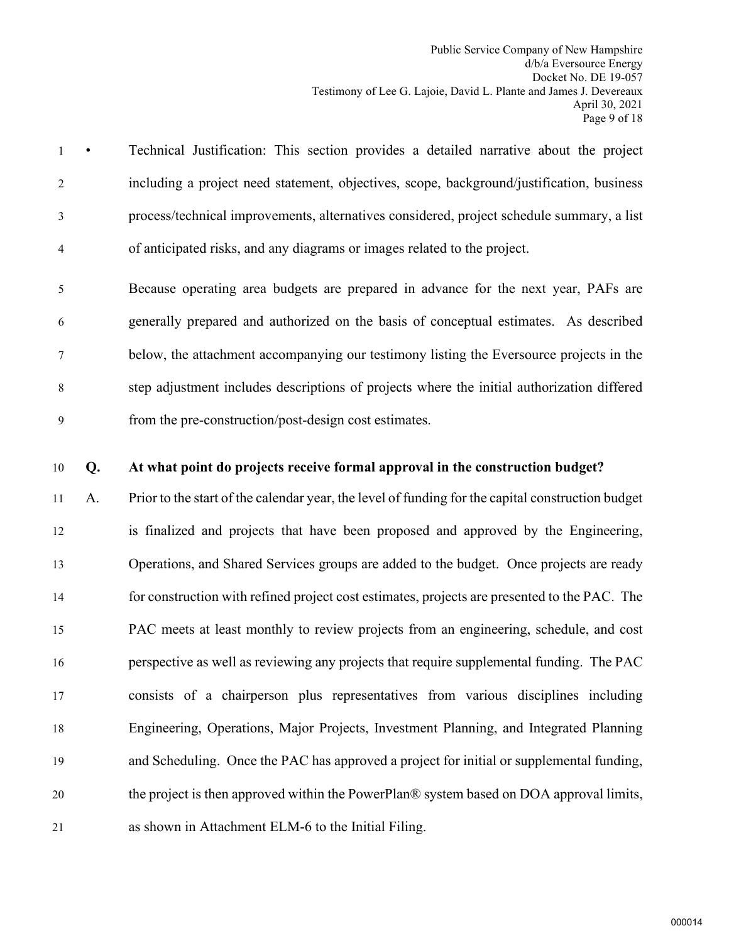- 1 Technical Justification: This section provides a detailed narrative about the project 2 including a project need statement, objectives, scope, background/justification, business 3 process/technical improvements, alternatives considered, project schedule summary, a list 4 of anticipated risks, and any diagrams or images related to the project.
- 5 Because operating area budgets are prepared in advance for the next year, PAFs are 6 generally prepared and authorized on the basis of conceptual estimates. As described 7 below, the attachment accompanying our testimony listing the Eversource projects in the 8 step adjustment includes descriptions of projects where the initial authorization differed 9 from the pre-construction/post-design cost estimates.
- 10 **Q. At what point do projects receive formal approval in the construction budget?**

 A. Prior to the start of the calendar year, the level of funding for the capital construction budget is finalized and projects that have been proposed and approved by the Engineering, Operations, and Shared Services groups are added to the budget. Once projects are ready for construction with refined project cost estimates, projects are presented to the PAC. The PAC meets at least monthly to review projects from an engineering, schedule, and cost perspective as well as reviewing any projects that require supplemental funding. The PAC consists of a chairperson plus representatives from various disciplines including Engineering, Operations, Major Projects, Investment Planning, and Integrated Planning and Scheduling. Once the PAC has approved a project for initial or supplemental funding, the project is then approved within the PowerPlan® system based on DOA approval limits, as shown in Attachment ELM-6 to the Initial Filing.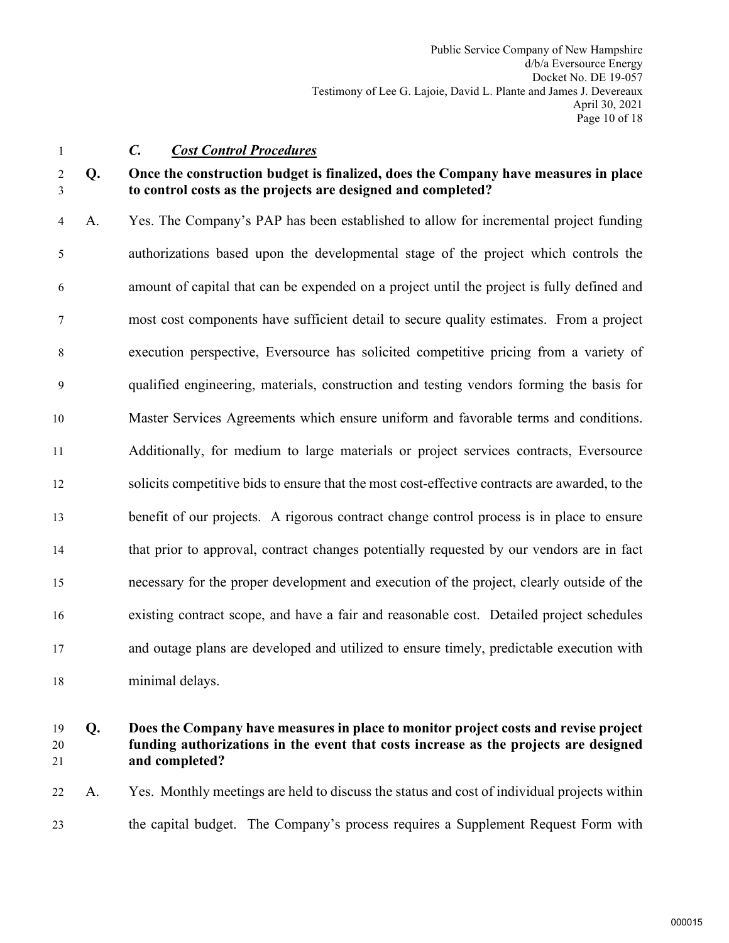<span id="page-11-0"></span>

## 1 *C. Cost Control Procedures*

## 2 **Q. Once the construction budget is finalized, does the Company have measures in place**  3 **to control costs as the projects are designed and completed?**

4 A. Yes. The Company's PAP has been established to allow for incremental project funding 5 authorizations based upon the developmental stage of the project which controls the 6 amount of capital that can be expended on a project until the project is fully defined and 7 most cost components have sufficient detail to secure quality estimates. From a project 8 execution perspective, Eversource has solicited competitive pricing from a variety of 9 qualified engineering, materials, construction and testing vendors forming the basis for 10 Master Services Agreements which ensure uniform and favorable terms and conditions. 11 Additionally, for medium to large materials or project services contracts, Eversource 12 solicits competitive bids to ensure that the most cost-effective contracts are awarded, to the 13 benefit of our projects. A rigorous contract change control process is in place to ensure 14 that prior to approval, contract changes potentially requested by our vendors are in fact 15 necessary for the proper development and execution of the project, clearly outside of the 16 existing contract scope, and have a fair and reasonable cost. Detailed project schedules 17 and outage plans are developed and utilized to ensure timely, predictable execution with 18 minimal delays.

# 19 **Q. Does the Company have measures in place to monitor project costs and revise project**  20 **funding authorizations in the event that costs increase as the projects are designed**  21 **and completed?**

22 A. Yes. Monthly meetings are held to discuss the status and cost of individual projects within 23 the capital budget. The Company's process requires a Supplement Request Form with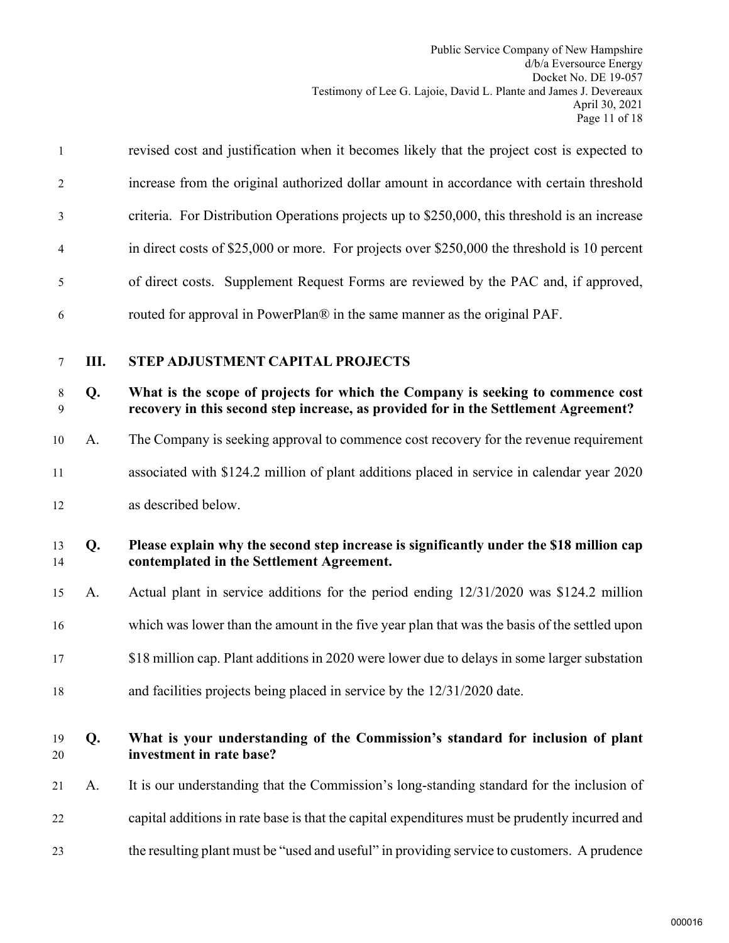| $\mathbf{1}$   | revised cost and justification when it becomes likely that the project cost is expected to    |
|----------------|-----------------------------------------------------------------------------------------------|
| $\overline{2}$ | increase from the original authorized dollar amount in accordance with certain threshold      |
| 3              | criteria. For Distribution Operations projects up to \$250,000, this threshold is an increase |
| 4              | in direct costs of \$25,000 or more. For projects over \$250,000 the threshold is 10 percent  |
| 5              | of direct costs. Supplement Request Forms are reviewed by the PAC and, if approved,           |
| 6              | routed for approval in PowerPlan® in the same manner as the original PAF.                     |
|                |                                                                                               |

# <span id="page-12-0"></span>7 **III. STEP ADJUSTMENT CAPITAL PROJECTS**

## 8 **Q. What is the scope of projects for which the Company is seeking to commence cost**  9 **recovery in this second step increase, as provided for in the Settlement Agreement?**

- 10 A. The Company is seeking approval to commence cost recovery for the revenue requirement
- 11 associated with \$124.2 million of plant additions placed in service in calendar year 2020

12 as described below.

## 13 **Q. Please explain why the second step increase is significantly under the \$18 million cap**  14 **contemplated in the Settlement Agreement.**

- 15 A. Actual plant in service additions for the period ending 12/31/2020 was \$124.2 million
- 16 which was lower than the amount in the five year plan that was the basis of the settled upon
- 17 \$18 million cap. Plant additions in 2020 were lower due to delays in some larger substation
- 18 and facilities projects being placed in service by the 12/31/2020 date.

## 19 **Q. What is your understanding of the Commission's standard for inclusion of plant**  20 **investment in rate base?**

- 21 A. It is our understanding that the Commission's long-standing standard for the inclusion of
- 22 capital additions in rate base is that the capital expenditures must be prudently incurred and
- 23 the resulting plant must be "used and useful" in providing service to customers. A prudence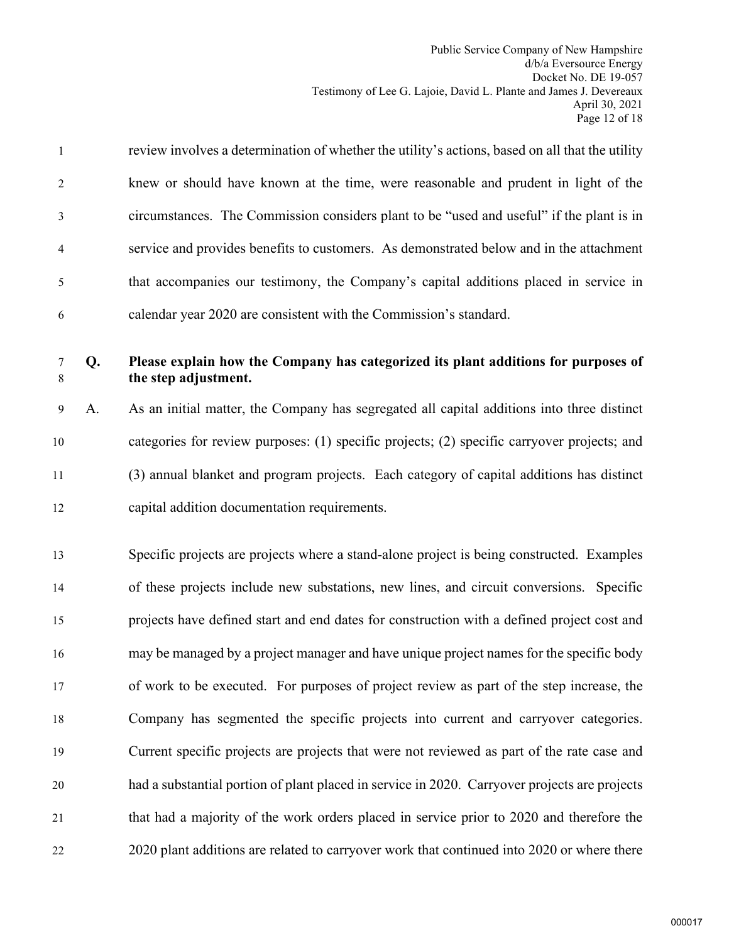1 review involves a determination of whether the utility's actions, based on all that the utility 2 knew or should have known at the time, were reasonable and prudent in light of the 3 circumstances. The Commission considers plant to be "used and useful" if the plant is in 4 service and provides benefits to customers. As demonstrated below and in the attachment 5 that accompanies our testimony, the Company's capital additions placed in service in 6 calendar year 2020 are consistent with the Commission's standard.

#### 7 **Q. Please explain how the Company has categorized its plant additions for purposes of**  8 **the step adjustment.**

9 A. As an initial matter, the Company has segregated all capital additions into three distinct categories for review purposes: (1) specific projects; (2) specific carryover projects; and (3) annual blanket and program projects. Each category of capital additions has distinct capital addition documentation requirements.

 Specific projects are projects where a stand-alone project is being constructed. Examples of these projects include new substations, new lines, and circuit conversions. Specific projects have defined start and end dates for construction with a defined project cost and may be managed by a project manager and have unique project names for the specific body of work to be executed. For purposes of project review as part of the step increase, the Company has segmented the specific projects into current and carryover categories. Current specific projects are projects that were not reviewed as part of the rate case and had a substantial portion of plant placed in service in 2020. Carryover projects are projects that had a majority of the work orders placed in service prior to 2020 and therefore the 22 2020 plant additions are related to carryover work that continued into 2020 or where there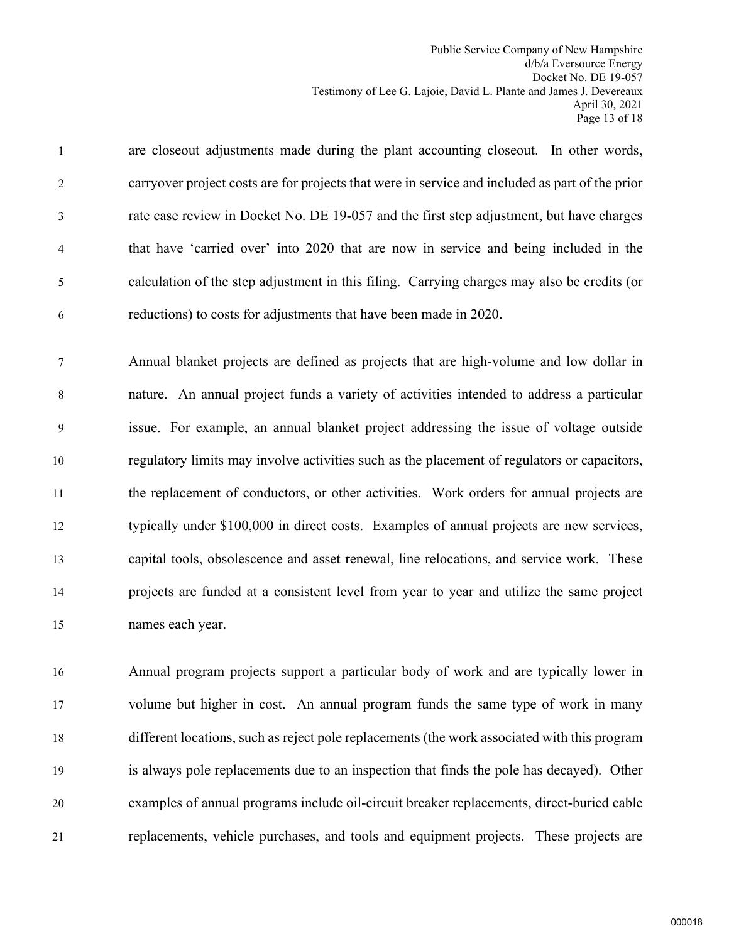1 are closeout adjustments made during the plant accounting closeout. In other words, 2 carryover project costs are for projects that were in service and included as part of the prior 3 rate case review in Docket No. DE 19-057 and the first step adjustment, but have charges 4 that have 'carried over' into 2020 that are now in service and being included in the 5 calculation of the step adjustment in this filing. Carrying charges may also be credits (or 6 reductions) to costs for adjustments that have been made in 2020.

7 Annual blanket projects are defined as projects that are high-volume and low dollar in 8 nature. An annual project funds a variety of activities intended to address a particular 9 issue. For example, an annual blanket project addressing the issue of voltage outside regulatory limits may involve activities such as the placement of regulators or capacitors, the replacement of conductors, or other activities. Work orders for annual projects are typically under \$100,000 in direct costs. Examples of annual projects are new services, capital tools, obsolescence and asset renewal, line relocations, and service work. These projects are funded at a consistent level from year to year and utilize the same project names each year.

 Annual program projects support a particular body of work and are typically lower in volume but higher in cost. An annual program funds the same type of work in many different locations, such as reject pole replacements (the work associated with this program is always pole replacements due to an inspection that finds the pole has decayed). Other examples of annual programs include oil-circuit breaker replacements, direct-buried cable replacements, vehicle purchases, and tools and equipment projects. These projects are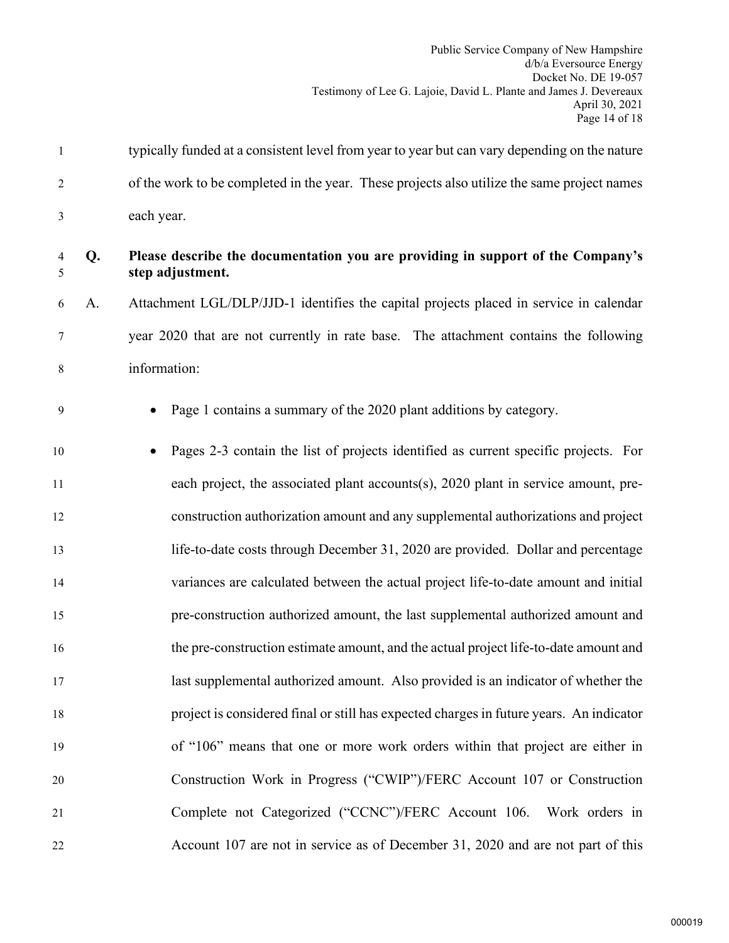1 typically funded at a consistent level from year to year but can vary depending on the nature 2 of the work to be completed in the year. These projects also utilize the same project names 3 each year.

# 4 **Q. Please describe the documentation you are providing in support of the Company's**  5 **step adjustment.**

6 A. Attachment LGL/DLP/JJD-1 identifies the capital projects placed in service in calendar 7 year 2020 that are not currently in rate base. The attachment contains the following 8 information:

9 • Page 1 contains a summary of the 2020 plant additions by category.

 • Pages 2-3 contain the list of projects identified as current specific projects. For each project, the associated plant accounts(s), 2020 plant in service amount, pre- construction authorization amount and any supplemental authorizations and project life-to-date costs through December 31, 2020 are provided. Dollar and percentage variances are calculated between the actual project life-to-date amount and initial pre-construction authorized amount, the last supplemental authorized amount and the pre-construction estimate amount, and the actual project life-to-date amount and last supplemental authorized amount. Also provided is an indicator of whether the project is considered final or still has expected charges in future years. An indicator of "106" means that one or more work orders within that project are either in Construction Work in Progress ("CWIP")/FERC Account 107 or Construction Complete not Categorized ("CCNC")/FERC Account 106. Work orders in Account 107 are not in service as of December 31, 2020 and are not part of this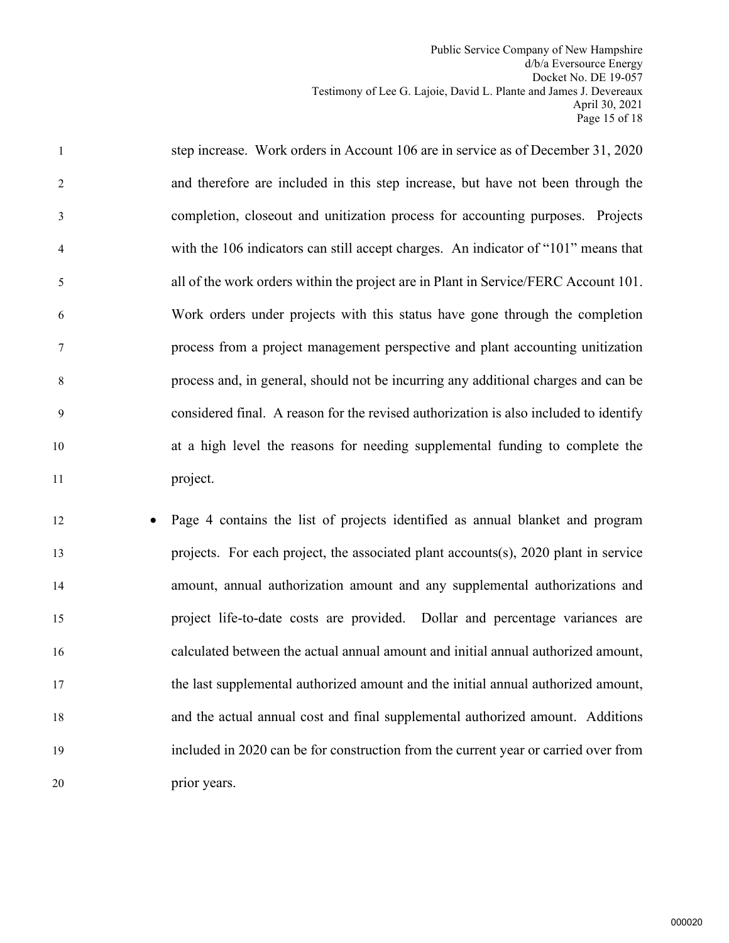1 step increase. Work orders in Account 106 are in service as of December 31, 2020 2 and therefore are included in this step increase, but have not been through the 3 completion, closeout and unitization process for accounting purposes. Projects 4 with the 106 indicators can still accept charges. An indicator of "101" means that 5 all of the work orders within the project are in Plant in Service/FERC Account 101. 6 Work orders under projects with this status have gone through the completion 7 process from a project management perspective and plant accounting unitization 8 process and, in general, should not be incurring any additional charges and can be 9 considered final. A reason for the revised authorization is also included to identify 10 at a high level the reasons for needing supplemental funding to complete the 11 project.

 • Page 4 contains the list of projects identified as annual blanket and program projects. For each project, the associated plant accounts(s), 2020 plant in service amount, annual authorization amount and any supplemental authorizations and project life-to-date costs are provided. Dollar and percentage variances are calculated between the actual annual amount and initial annual authorized amount, the last supplemental authorized amount and the initial annual authorized amount, and the actual annual cost and final supplemental authorized amount. Additions included in 2020 can be for construction from the current year or carried over from prior years.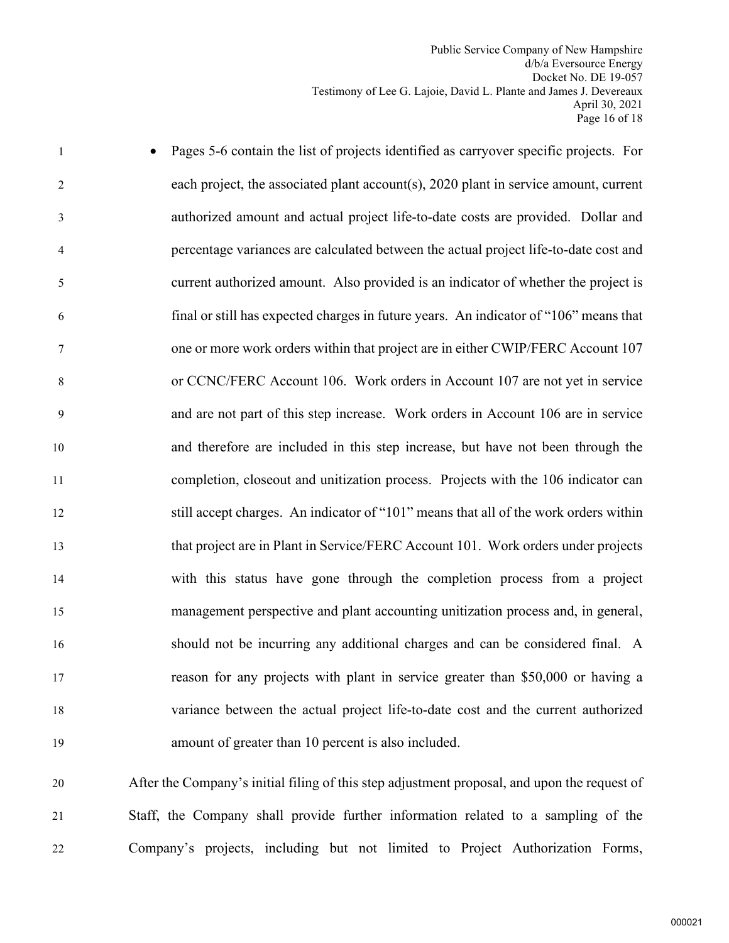1 • Pages 5-6 contain the list of projects identified as carryover specific projects. For 2 each project, the associated plant account(s), 2020 plant in service amount, current 3 authorized amount and actual project life-to-date costs are provided. Dollar and 4 percentage variances are calculated between the actual project life-to-date cost and 5 current authorized amount. Also provided is an indicator of whether the project is 6 final or still has expected charges in future years. An indicator of "106" means that 7 one or more work orders within that project are in either CWIP/FERC Account 107 8 or CCNC/FERC Account 106. Work orders in Account 107 are not yet in service 9 and are not part of this step increase. Work orders in Account 106 are in service 10 and therefore are included in this step increase, but have not been through the 11 completion, closeout and unitization process. Projects with the 106 indicator can 12 still accept charges. An indicator of "101" means that all of the work orders within 13 that project are in Plant in Service/FERC Account 101. Work orders under projects 14 with this status have gone through the completion process from a project 15 management perspective and plant accounting unitization process and, in general, 16 should not be incurring any additional charges and can be considered final. A 17 reason for any projects with plant in service greater than \$50,000 or having a 18 variance between the actual project life-to-date cost and the current authorized 19 amount of greater than 10 percent is also included.

20 After the Company's initial filing of this step adjustment proposal, and upon the request of 21 Staff, the Company shall provide further information related to a sampling of the 22 Company's projects, including but not limited to Project Authorization Forms,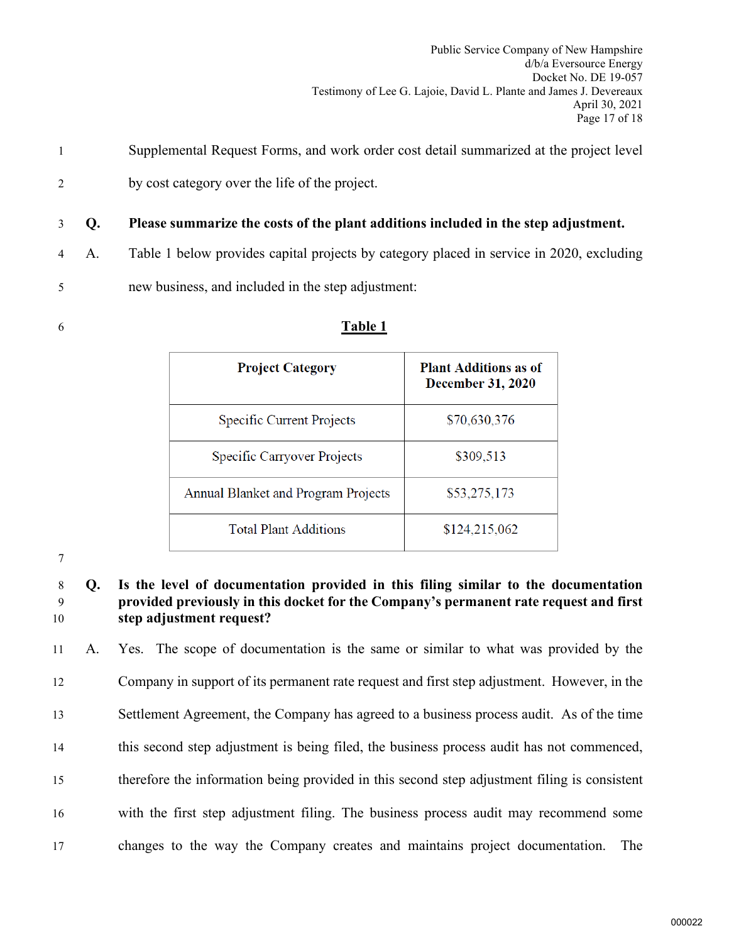- 1 Supplemental Request Forms, and work order cost detail summarized at the project level
- 2 by cost category over the life of the project.

3 **Q. Please summarize the costs of the plant additions included in the step adjustment.** 

4 A. Table 1 below provides capital projects by category placed in service in 2020, excluding

5 new business, and included in the step adjustment:

| 6 | <b>Table 1</b> |
|---|----------------|
|   |                |

| <b>Project Category</b>                    | <b>Plant Additions as of</b><br><b>December 31, 2020</b> |
|--------------------------------------------|----------------------------------------------------------|
| Specific Current Projects                  | \$70,630,376                                             |
| Specific Carryover Projects                | \$309,513                                                |
| <b>Annual Blanket and Program Projects</b> | \$53,275,173                                             |
| <b>Total Plant Additions</b>               | \$124,215,062                                            |

7

# 8 **Q. Is the level of documentation provided in this filing similar to the documentation**  9 **provided previously in this docket for the Company's permanent rate request and first**  10 **step adjustment request?**

 A. Yes. The scope of documentation is the same or similar to what was provided by the Company in support of its permanent rate request and first step adjustment. However, in the Settlement Agreement, the Company has agreed to a business process audit. As of the time this second step adjustment is being filed, the business process audit has not commenced, therefore the information being provided in this second step adjustment filing is consistent with the first step adjustment filing. The business process audit may recommend some changes to the way the Company creates and maintains project documentation. The